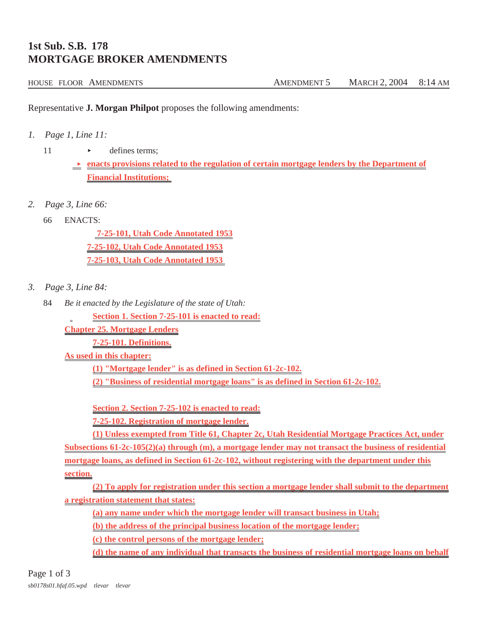## **1st Sub. S.B. 178 MORTGAGE BROKER AMENDMENTS**

## HOUSE FLOOR AMENDMENTS AMENOMENT 5 MARCH 2, 2004 8:14 AM

Representative **J. Morgan Philpot** proposes the following amendments:

*1. Page 1, Line 11:*

11 b defines terms:

**Exercise 5 related to the regulation of certain mortgage lenders by the Department of Financial Institutions;** 

- *2. Page 3, Line 66:*
	- 66 ENACTS:

 **7-25-101, Utah Code Annotated 1953 7-25-102, Utah Code Annotated 1953 7-25-103, Utah Code Annotated 1953** 

- *3. Page 3, Line 84:*
	- 84 *Be it enacted by the Legislature of the state of Utah:*

**Section 1. Section 7-25-101 is enacted to read:**

**Chapter 25. Mortgage Lenders**

**7-25-101. Definitions.**

**As used in this chapter:**

**(1) "Mortgage lender" is as defined in Section 61-2c-102.**

**(2) "Business of residential mortgage loans" is as defined in Section 61-2c-102.**

**Section 2. Section 7-25-102 is enacted to read:**

**7-25-102. Registration of mortgage lender.**

**(1) Unless exempted from Title 61, Chapter 2c, Utah Residential Mortgage Practices Act, under Subsections 61-2c-105(2)(a) through (m), a mortgage lender may not transact the business of residential mortgage loans, as defined in Section 61-2c-102, without registering with the department under this section.**

**(2) To apply for registration under this section a mortgage lender shall submit to the department a registration statement that states:**

**(a) any name under which the mortgage lender will transact business in Utah;**

**(b) the address of the principal business location of the mortgage lender;**

**(c) the control persons of the mortgage lender;**

**(d) the name of any individual that transacts the business of residential mortgage loans on behalf**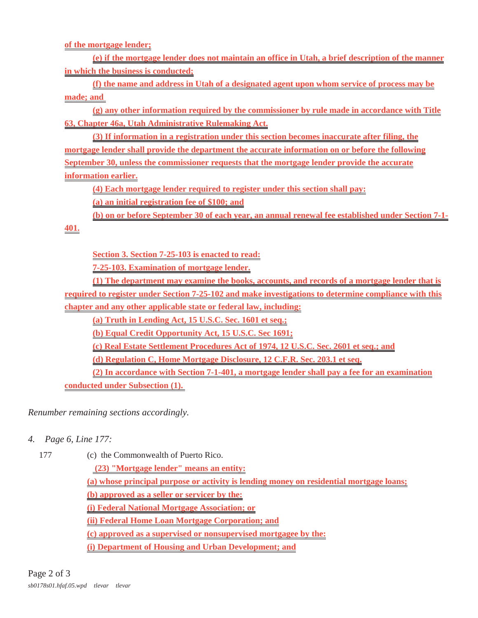**of the mortgage lender;**

**(e) if the mortgage lender does not maintain an office in Utah, a brief description of the manner in which the business is conducted;**

**(f) the name and address in Utah of a designated agent upon whom service of process may be made; and** 

**(g) any other information required by the commissioner by rule made in accordance with Title 63, Chapter 46a, Utah Administrative Rulemaking Act.**

**(3) If information in a registration under this section becomes inaccurate after filing, the mortgage lender shall provide the department the accurate information on or before the following September 30, unless the commissioner requests that the mortgage lender provide the accurate information earlier.**

**(4) Each mortgage lender required to register under this section shall pay:**

**(a) an initial registration fee of \$100; and**

**(b) on or before September 30 of each year, an annual renewal fee established under Section 7-1-**

**401.**

**Section 3. Section 7-25-103 is enacted to read:**

**7-25-103. Examination of mortgage lender.**

**(1) The department may examine the books, accounts, and records of a mortgage lender that is required to register under Section 7-25-102 and make investigations to determine compliance with this chapter and any other applicable state or federal law, including:**

**(a) Truth in Lending Act, 15 U.S.C. Sec. 1601 et seq.;**

**(b) Equal Credit Opportunity Act, 15 U.S.C. Sec 1691;**

**(c) Real Estate Settlement Procedures Act of 1974, 12 U.S.C. Sec. 2601 et seq.; and**

**(d) Regulation C, Home Mortgage Disclosure, 12 C.F.R. Sec. 203.1 et seq.**

**(2) In accordance with Section 7-1-401, a mortgage lender shall pay a fee for an examination**

**conducted under Subsection (1).** 

*Renumber remaining sections accordingly.*

- *4. Page 6, Line 177:*
	-

177 (c) the Commonwealth of Puerto Rico.

 **(23) "Mortgage lender" means an entity:**

**(a) whose principal purpose or activity is lending money on residential mortgage loans;**

**(b) approved as a seller or servicer by the:**

**(i) Federal National Mortgage Association; or**

**(ii) Federal Home Loan Mortgage Corporation; and**

**(c) approved as a supervised or nonsupervised mortgagee by the:**

**(i) Department of Housing and Urban Development; and**